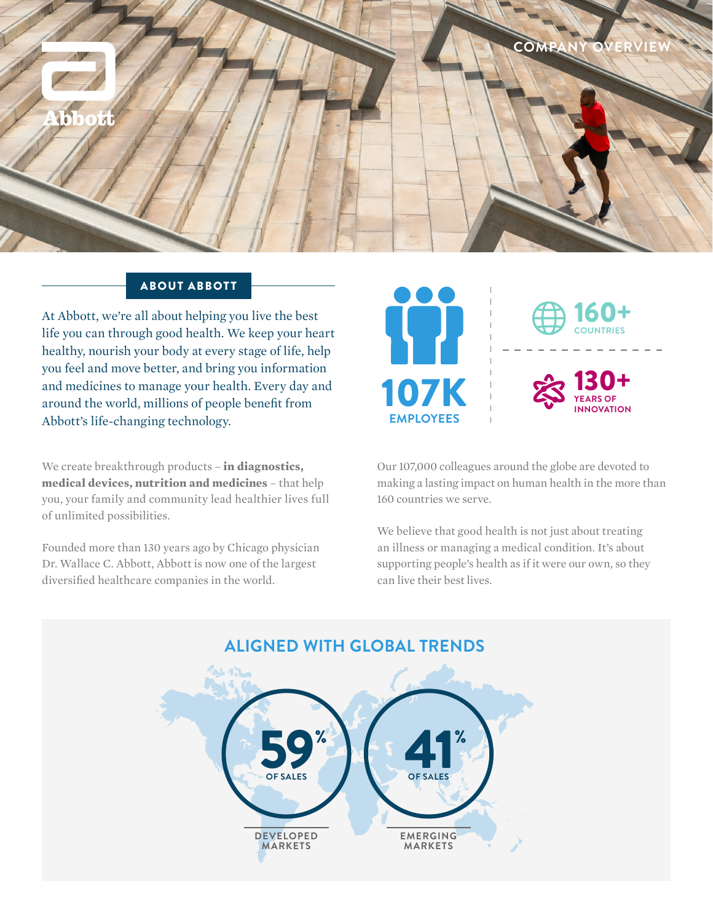

## ABOUT ABBOTT

At Abbott, we're all about helping you live the best life you can through good health. We keep your heart healthy, nourish your body at every stage of life, help you feel and move better, and bring you information and medicines to manage your health. Every day and around the world, millions of people benefit from Abbott's life-changing technology.

We create breakthrough products – **in diagnostics, medical devices, nutrition and medicines** – that help you, your family and community lead healthier lives full of unlimited possibilities.

Founded more than 130 years ago by Chicago physician Dr. Wallace C. Abbott, Abbott is now one of the largest diversified healthcare companies in the world.





Our 107,000 colleagues around the globe are devoted to making a lasting impact on human health in the more than 160 countries we serve.

We believe that good health is not just about treating an illness or managing a medical condition. It's about supporting people's health as if it were our own, so they can live their best lives.